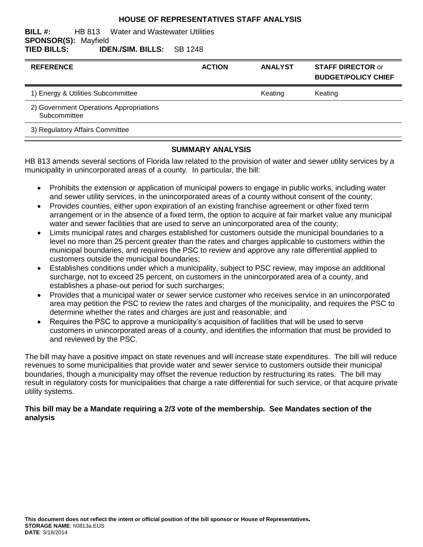#### **HOUSE OF REPRESENTATIVES STAFF ANALYSIS**

#### **BILL #:** HB 813 Water and Wastewater Utilities **SPONSOR(S):** Mayfield **TIED BILLS: IDEN./SIM. BILLS:** SB 1248

| <b>REFERENCE</b>                                        | <b>ACTION</b> | <b>ANALYST</b> | <b>STAFF DIRECTOR or</b><br><b>BUDGET/POLICY CHIEF</b> |
|---------------------------------------------------------|---------------|----------------|--------------------------------------------------------|
| 1) Energy & Utilities Subcommittee                      |               | Keating        | Keating                                                |
| 2) Government Operations Appropriations<br>Subcommittee |               |                |                                                        |
| 3) Regulatory Affairs Committee                         |               |                |                                                        |
|                                                         |               |                |                                                        |

### **SUMMARY ANALYSIS**

HB 813 amends several sections of Florida law related to the provision of water and sewer utility services by a municipality in unincorporated areas of a county. In particular, the bill:

- Prohibits the extension or application of municipal powers to engage in public works, including water and sewer utility services, in the unincorporated areas of a county without consent of the county;
- Provides counties, either upon expiration of an existing franchise agreement or other fixed term arrangement or in the absence of a fixed term, the option to acquire at fair market value any municipal water and sewer facilities that are used to serve an unincorporated area of the county;
- Limits municipal rates and charges established for customers outside the municipal boundaries to a level no more than 25 percent greater than the rates and charges applicable to customers within the municipal boundaries, and requires the PSC to review and approve any rate differential applied to customers outside the municipal boundaries;
- Establishes conditions under which a municipality, subject to PSC review, may impose an additional surcharge, not to exceed 25 percent, on customers in the unincorporated area of a county, and establishes a phase-out period for such surcharges;
- Provides that a municipal water or sewer service customer who receives service in an unincorporated area may petition the PSC to review the rates and charges of the municipality, and requires the PSC to determine whether the rates and charges are just and reasonable; and
- Requires the PSC to approve a municipality's acquisition of facilities that will be used to serve customers in unincorporated areas of a county, and identifies the information that must be provided to and reviewed by the PSC.

The bill may have a positive impact on state revenues and will increase state expenditures. The bill will reduce revenues to some municipalities that provide water and sewer service to customers outside their municipal boundaries, though a municipality may offset the revenue reduction by restructuring its rates. The bill may result in regulatory costs for municipalities that charge a rate differential for such service, or that acquire private utility systems.

### **This bill may be a Mandate requiring a 2/3 vote of the membership. See Mandates section of the analysis**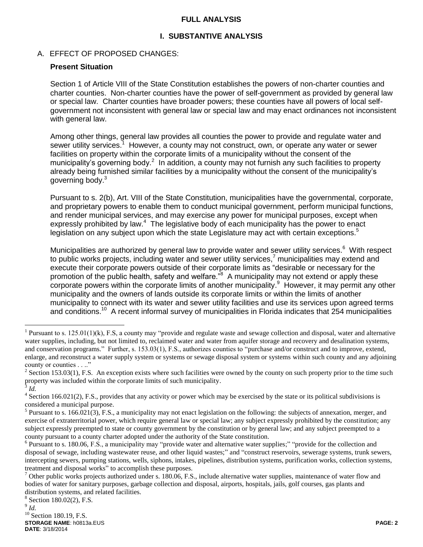### **FULL ANALYSIS**

### **I. SUBSTANTIVE ANALYSIS**

### A. EFFECT OF PROPOSED CHANGES:

### **Present Situation**

Section 1 of Article VIII of the State Constitution establishes the powers of non-charter counties and charter counties. Non-charter counties have the power of self-government as provided by general law or special law. Charter counties have broader powers; these counties have all powers of local selfgovernment not inconsistent with general law or special law and may enact ordinances not inconsistent with general law.

Among other things, general law provides all counties the power to provide and regulate water and sewer utility services.<sup>1</sup> However, a county may not construct, own, or operate any water or sewer facilities on property within the corporate limits of a municipality without the consent of the municipality's governing body.<sup>2</sup> In addition, a county may not furnish any such facilities to property already being furnished similar facilities by a municipality without the consent of the municipality's governing body.<sup>3</sup>

Pursuant to s. 2(b), Art. VIII of the State Constitution, municipalities have the governmental, corporate, and proprietary powers to enable them to conduct municipal government, perform municipal functions, and render municipal services, and may exercise any power for municipal purposes, except when expressly prohibited by law.<sup>4</sup> The legislative body of each municipality has the power to enact legislation on any subject upon which the state Legislature may act with certain exceptions.<sup>5</sup>

Municipalities are authorized by general law to provide water and sewer utility services.<sup>6</sup> With respect to public works projects, including water and sewer utility services,<sup>7</sup> municipalities may extend and execute their corporate powers outside of their corporate limits as "desirable or necessary for the promotion of the public health, safety and welfare.<sup>"8</sup> A municipality may not extend or apply these corporate powers within the corporate limits of another municipality.<sup>9</sup> However, it may permit any other municipality and the owners of lands outside its corporate limits or within the limits of another municipality to connect with its water and sewer utility facilities and use its services upon agreed terms and conditions.<sup>10</sup> A recent informal survey of municipalities in Florida indicates that 254 municipalities

**STORAGE NAME**: h0813a.EUS **PAGE: 2 DATE**: 3/18/2014 <sup>8</sup> Section 180.02(2), F.S. 9 *Id.*  $10$  Section 180.19, F.S.

 $\overline{a}$ 

<sup>&</sup>lt;sup>1</sup> Pursuant to s. 125.01(1)(k), F.S, a county may "provide and regulate waste and sewage collection and disposal, water and alternative water supplies, including, but not limited to, reclaimed water and water from aquifer storage and recovery and desalination systems, and conservation programs." Further, s. 153.03(1), F.S., authorizes counties to "purchase and/or construct and to improve, extend, enlarge, and reconstruct a water supply system or systems or sewage disposal system or systems within such county and any adjoining county or counties . . .."

<sup>&</sup>lt;sup>2</sup> Section 153.03(1), F.S. An exception exists where such facilities were owned by the county on such property prior to the time such property was included within the corporate limits of such municipality. 3 *Id.*

 $4$  Section 166.021(2), F.S., provides that any activity or power which may be exercised by the state or its political subdivisions is considered a municipal purpose.

<sup>&</sup>lt;sup>5</sup> Pursuant to s. 166.021(3), F.S., a municipality may not enact legislation on the following: the subjects of annexation, merger, and exercise of extraterritorial power, which require general law or special law; any subject expressly prohibited by the constitution; any subject expressly preempted to state or county government by the constitution or by general law; and any subject preempted to a county pursuant to a county charter adopted under the authority of the State constitution.

<sup>&</sup>lt;sup>6</sup> Pursuant to s. 180.06, F.S., a municipality may "provide water and alternative water supplies;" "provide for the collection and disposal of sewage, including wastewater reuse, and other liquid wastes;" and "construct reservoirs, sewerage systems, trunk sewers, intercepting sewers, pumping stations, wells, siphons, intakes, pipelines, distribution systems, purification works, collection systems, treatment and disposal works" to accomplish these purposes.

<sup>&</sup>lt;sup>7</sup> Other public works projects authorized under s. 180.06, F.S., include alternative water supplies, maintenance of water flow and bodies of water for sanitary purposes, garbage collection and disposal, airports, hospitals, jails, golf courses, gas plants and distribution systems, and related facilities.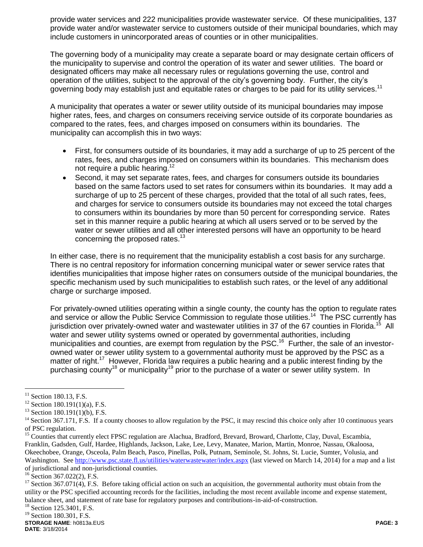provide water services and 222 municipalities provide wastewater service. Of these municipalities, 137 provide water and/or wastewater service to customers outside of their municipal boundaries, which may include customers in unincorporated areas of counties or in other municipalities.

The governing body of a municipality may create a separate board or may designate certain officers of the municipality to supervise and control the operation of its water and sewer utilities. The board or designated officers may make all necessary rules or regulations governing the use, control and operation of the utilities, subject to the approval of the city's governing body. Further, the city's governing body may establish just and equitable rates or charges to be paid for its utility services.<sup>11</sup>

A municipality that operates a water or sewer utility outside of its municipal boundaries may impose higher rates, fees, and charges on consumers receiving service outside of its corporate boundaries as compared to the rates, fees, and charges imposed on consumers within its boundaries. The municipality can accomplish this in two ways:

- First, for consumers outside of its boundaries, it may add a surcharge of up to 25 percent of the rates, fees, and charges imposed on consumers within its boundaries. This mechanism does not require a public hearing.<sup>12</sup>
- Second, it may set separate rates, fees, and charges for consumers outside its boundaries based on the same factors used to set rates for consumers within its boundaries. It may add a surcharge of up to 25 percent of these charges, provided that the total of all such rates, fees, and charges for service to consumers outside its boundaries may not exceed the total charges to consumers within its boundaries by more than 50 percent for corresponding service. Rates set in this manner require a public hearing at which all users served or to be served by the water or sewer utilities and all other interested persons will have an opportunity to be heard concerning the proposed rates.<sup>13</sup>

In either case, there is no requirement that the municipality establish a cost basis for any surcharge. There is no central repository for information concerning municipal water or sewer service rates that identifies municipalities that impose higher rates on consumers outside of the municipal boundaries, the specific mechanism used by such municipalities to establish such rates, or the level of any additional charge or surcharge imposed.

For privately-owned utilities operating within a single county, the county has the option to regulate rates and service or allow the Public Service Commission to regulate those utilities.<sup>14</sup> The PSC currently has jurisdiction over privately-owned water and wastewater utilities in 37 of the 67 counties in Florida.<sup>15</sup> All water and sewer utility systems owned or operated by governmental authorities, including municipalities and counties, are exempt from regulation by the PSC.<sup>16</sup> Further, the sale of an investorowned water or sewer utility system to a governmental authority must be approved by the PSC as a matter of right.<sup>17</sup> However, Florida law requires a public hearing and a public interest finding by the purchasing county<sup>18</sup> or municipality<sup>19</sup> prior to the purchase of a water or sewer utility system. In

 $\overline{a}$ 

 $11$  Section 180.13, F.S.

 $12$  Section 180.191(1)(a), F.S.

 $13$  Section 180.191(1)(b), F.S.

 $14$  Section 367.171, F.S. If a county chooses to allow regulation by the PSC, it may rescind this choice only after 10 continuous years of PSC regulation.

<sup>&</sup>lt;sup>15</sup> Counties that currently elect FPSC regulation are Alachua, Bradford, Brevard, Broward, Charlotte, Clay, Duval, Escambia, Franklin, Gadsden, Gulf, Hardee, Highlands, Jackson, Lake, Lee, Levy, Manatee, Marion, Martin, Monroe, Nassau, Okaloosa, Okeechobee, Orange, Osceola, Palm Beach, Pasco, Pinellas, Polk, Putnam, Seminole, St. Johns, St. Lucie, Sumter, Volusia, and Washington. See<http://www.psc.state.fl.us/utilities/waterwastewater/index.aspx> (last viewed on March 14, 2014) for a map and a list of jurisdictional and non-jurisdictional counties.

<sup>&</sup>lt;sup>16</sup> Section 367.022(2), F.S.

<sup>&</sup>lt;sup>17</sup> Section 367.071(4), F.S. Before taking official action on such an acquisition, the governmental authority must obtain from the utility or the PSC specified accounting records for the facilities, including the most recent available income and expense statement, balance sheet, and statement of rate base for regulatory purposes and contributions-in-aid-of-construction.

<sup>&</sup>lt;sup>18</sup> Section 125.3401, F.S.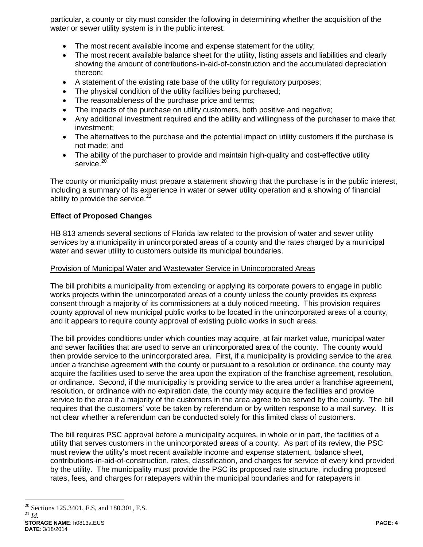particular, a county or city must consider the following in determining whether the acquisition of the water or sewer utility system is in the public interest:

- The most recent available income and expense statement for the utility;
- The most recent available balance sheet for the utility, listing assets and liabilities and clearly showing the amount of contributions-in-aid-of-construction and the accumulated depreciation thereon;
- A statement of the existing rate base of the utility for regulatory purposes;
- The physical condition of the utility facilities being purchased;
- The reasonableness of the purchase price and terms;
- The impacts of the purchase on utility customers, both positive and negative;
- Any additional investment required and the ability and willingness of the purchaser to make that investment;
- The alternatives to the purchase and the potential impact on utility customers if the purchase is not made; and
- The ability of the purchaser to provide and maintain high-quality and cost-effective utility service.<sup>20</sup>

The county or municipality must prepare a statement showing that the purchase is in the public interest, including a summary of its experience in water or sewer utility operation and a showing of financial ability to provide the service. $21$ 

### **Effect of Proposed Changes**

HB 813 amends several sections of Florida law related to the provision of water and sewer utility services by a municipality in unincorporated areas of a county and the rates charged by a municipal water and sewer utility to customers outside its municipal boundaries.

### Provision of Municipal Water and Wastewater Service in Unincorporated Areas

The bill prohibits a municipality from extending or applying its corporate powers to engage in public works projects within the unincorporated areas of a county unless the county provides its express consent through a majority of its commissioners at a duly noticed meeting. This provision requires county approval of new municipal public works to be located in the unincorporated areas of a county, and it appears to require county approval of existing public works in such areas.

The bill provides conditions under which counties may acquire, at fair market value, municipal water and sewer facilities that are used to serve an unincorporated area of the county. The county would then provide service to the unincorporated area. First, if a municipality is providing service to the area under a franchise agreement with the county or pursuant to a resolution or ordinance, the county may acquire the facilities used to serve the area upon the expiration of the franchise agreement, resolution, or ordinance. Second, if the municipality is providing service to the area under a franchise agreement, resolution, or ordinance with no expiration date, the county may acquire the facilities and provide service to the area if a majority of the customers in the area agree to be served by the county. The bill requires that the customers' vote be taken by referendum or by written response to a mail survey. It is not clear whether a referendum can be conducted solely for this limited class of customers.

The bill requires PSC approval before a municipality acquires, in whole or in part, the facilities of a utility that serves customers in the unincorporated areas of a county. As part of its review, the PSC must review the utility's most recent available income and expense statement, balance sheet, contributions-in-aid-of-construction, rates, classification, and charges for service of every kind provided by the utility. The municipality must provide the PSC its proposed rate structure, including proposed rates, fees, and charges for ratepayers within the municipal boundaries and for ratepayers in

 $\overline{a}$ <sup>20</sup> Sections 125.3401, F.S, and 180.301, F.S. <sup>21</sup> *Id.*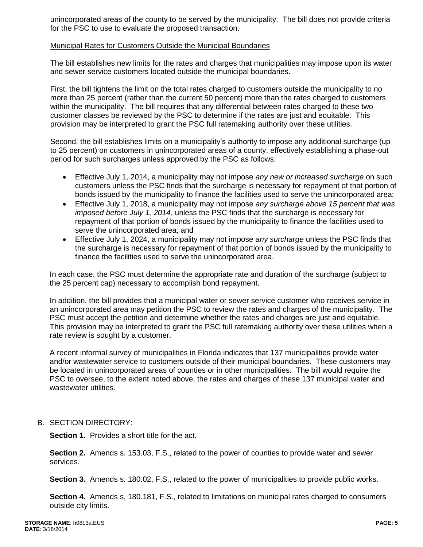unincorporated areas of the county to be served by the municipality. The bill does not provide criteria for the PSC to use to evaluate the proposed transaction.

### Municipal Rates for Customers Outside the Municipal Boundaries

The bill establishes new limits for the rates and charges that municipalities may impose upon its water and sewer service customers located outside the municipal boundaries.

First, the bill tightens the limit on the total rates charged to customers outside the municipality to no more than 25 percent (rather than the current 50 percent) more than the rates charged to customers within the municipality. The bill requires that any differential between rates charged to these two customer classes be reviewed by the PSC to determine if the rates are just and equitable. This provision may be interpreted to grant the PSC full ratemaking authority over these utilities.

Second, the bill establishes limits on a municipality's authority to impose any additional surcharge (up to 25 percent) on customers in unincorporated areas of a county, effectively establishing a phase-out period for such surcharges unless approved by the PSC as follows:

- Effective July 1, 2014, a municipality may not impose *any new or increased surcharge* on such customers unless the PSC finds that the surcharge is necessary for repayment of that portion of bonds issued by the municipality to finance the facilities used to serve the unincorporated area;
- Effective July 1, 2018, a municipality may not impose *any surcharge above 15 percent that was imposed before July 1, 2014,* unless the PSC finds that the surcharge is necessary for repayment of that portion of bonds issued by the municipality to finance the facilities used to serve the unincorporated area; and
- Effective July 1, 2024, a municipality may not impose *any surcharge* unless the PSC finds that the surcharge is necessary for repayment of that portion of bonds issued by the municipality to finance the facilities used to serve the unincorporated area.

In each case, the PSC must determine the appropriate rate and duration of the surcharge (subject to the 25 percent cap) necessary to accomplish bond repayment.

In addition, the bill provides that a municipal water or sewer service customer who receives service in an unincorporated area may petition the PSC to review the rates and charges of the municipality. The PSC must accept the petition and determine whether the rates and charges are just and equitable. This provision may be interpreted to grant the PSC full ratemaking authority over these utilities when a rate review is sought by a customer.

A recent informal survey of municipalities in Florida indicates that 137 municipalities provide water and/or wastewater service to customers outside of their municipal boundaries. These customers may be located in unincorporated areas of counties or in other municipalities. The bill would require the PSC to oversee, to the extent noted above, the rates and charges of these 137 municipal water and wastewater utilities.

### B. SECTION DIRECTORY:

**Section 1.** Provides a short title for the act.

**Section 2.** Amends s. 153.03, F.S., related to the power of counties to provide water and sewer services.

**Section 3.** Amends s. 180.02, F.S., related to the power of municipalities to provide public works.

**Section 4.** Amends s, 180.181, F.S., related to limitations on municipal rates charged to consumers outside city limits.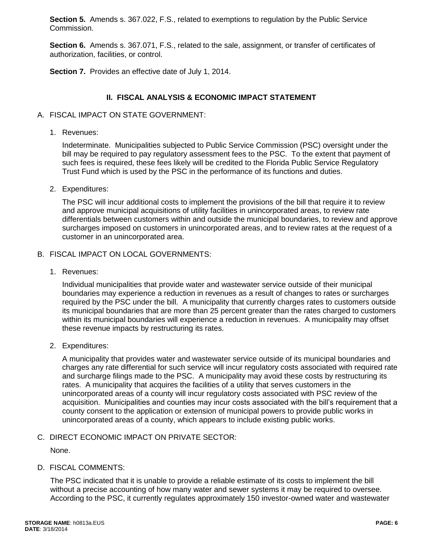**Section 5.** Amends s. 367.022, F.S., related to exemptions to regulation by the Public Service Commission.

**Section 6.** Amends s. 367.071, F.S., related to the sale, assignment, or transfer of certificates of authorization, facilities, or control.

**Section 7.** Provides an effective date of July 1, 2014.

### **II. FISCAL ANALYSIS & ECONOMIC IMPACT STATEMENT**

### A. FISCAL IMPACT ON STATE GOVERNMENT:

1. Revenues:

Indeterminate. Municipalities subjected to Public Service Commission (PSC) oversight under the bill may be required to pay regulatory assessment fees to the PSC. To the extent that payment of such fees is required, these fees likely will be credited to the Florida Public Service Regulatory Trust Fund which is used by the PSC in the performance of its functions and duties.

2. Expenditures:

The PSC will incur additional costs to implement the provisions of the bill that require it to review and approve municipal acquisitions of utility facilities in unincorporated areas, to review rate differentials between customers within and outside the municipal boundaries, to review and approve surcharges imposed on customers in unincorporated areas, and to review rates at the request of a customer in an unincorporated area.

- B. FISCAL IMPACT ON LOCAL GOVERNMENTS:
	- 1. Revenues:

Individual municipalities that provide water and wastewater service outside of their municipal boundaries may experience a reduction in revenues as a result of changes to rates or surcharges required by the PSC under the bill. A municipality that currently charges rates to customers outside its municipal boundaries that are more than 25 percent greater than the rates charged to customers within its municipal boundaries will experience a reduction in revenues. A municipality may offset these revenue impacts by restructuring its rates.

2. Expenditures:

A municipality that provides water and wastewater service outside of its municipal boundaries and charges any rate differential for such service will incur regulatory costs associated with required rate and surcharge filings made to the PSC. A municipality may avoid these costs by restructuring its rates. A municipality that acquires the facilities of a utility that serves customers in the unincorporated areas of a county will incur regulatory costs associated with PSC review of the acquisition. Municipalities and counties may incur costs associated with the bill's requirement that a county consent to the application or extension of municipal powers to provide public works in unincorporated areas of a county, which appears to include existing public works.

C. DIRECT ECONOMIC IMPACT ON PRIVATE SECTOR:

None.

D. FISCAL COMMENTS:

The PSC indicated that it is unable to provide a reliable estimate of its costs to implement the bill without a precise accounting of how many water and sewer systems it may be required to oversee. According to the PSC, it currently regulates approximately 150 investor-owned water and wastewater